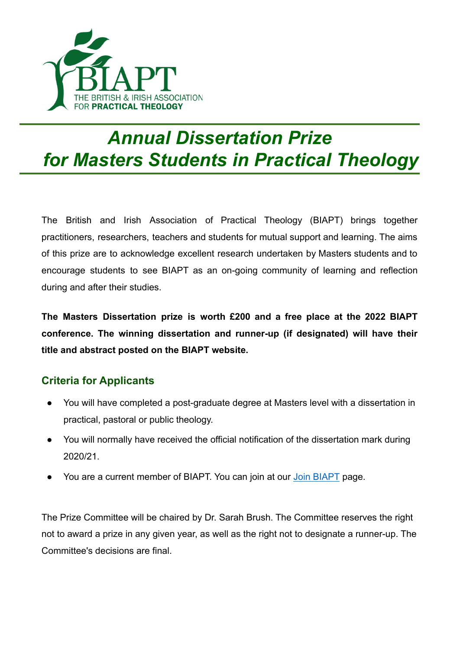

## *Annual Dissertation Prize for Masters Students in Practical Theology*

The British and Irish Association of Practical Theology (BIAPT) brings together practitioners, researchers, teachers and students for mutual support and learning. The aims of this prize are to acknowledge excellent research undertaken by Masters students and to encourage students to see BIAPT as an on-going community of learning and reflection during and after their studies.

**The Masters Dissertation prize is worth £200 and a free place at the 2022 BIAPT conference. The winning dissertation and runner-up (if designated) will have their title and abstract posted on the BIAPT website.**

## **Criteria for Applicants**

- You will have completed a post-graduate degree at Masters level with a dissertation in practical, pastoral or public theology.
- You will normally have received the official notification of the dissertation mark during 2020/21.
- You are a current member of BIAPT. You can join at our [Join BIAPT](https://www.biapt.org/join/) page.

The Prize Committee will be chaired by Dr. Sarah Brush. The Committee reserves the right not to award a prize in any given year, as well as the right not to designate a runner-up. The Committee's decisions are final.